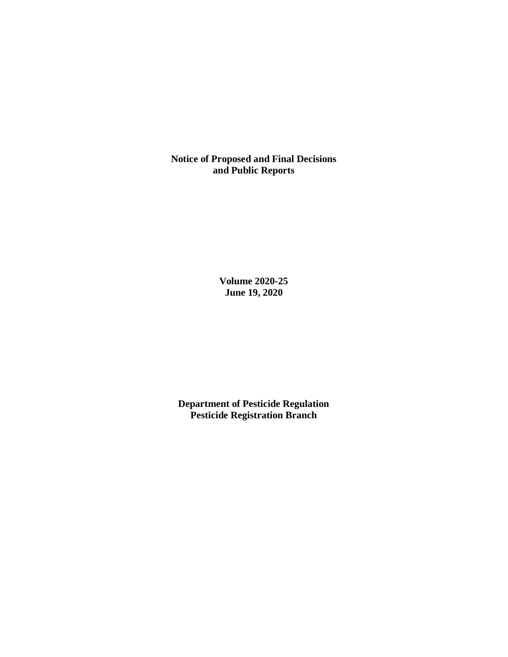**Notice of Proposed and Final Decisions and Public Reports**

> **Volume 2020-25 June 19, 2020**

**Department of Pesticide Regulation Pesticide Registration Branch**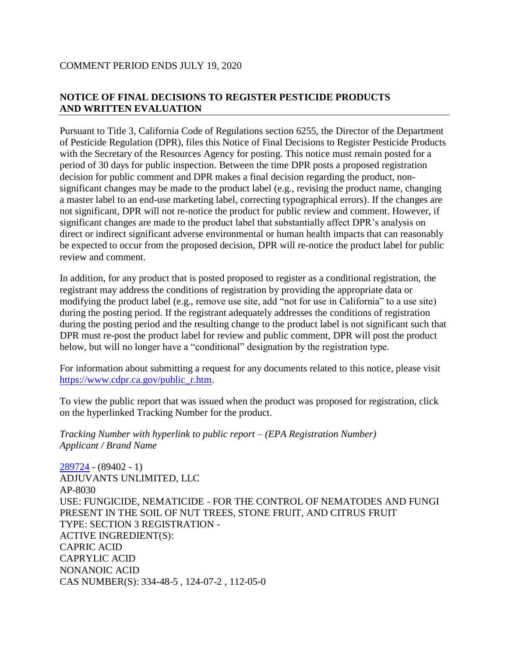# **NOTICE OF FINAL DECISIONS TO REGISTER PESTICIDE PRODUCTS AND WRITTEN EVALUATION**

Pursuant to Title 3, California Code of Regulations section 6255, the Director of the Department of Pesticide Regulation (DPR), files this Notice of Final Decisions to Register Pesticide Products with the Secretary of the Resources Agency for posting. This notice must remain posted for a period of 30 days for public inspection. Between the time DPR posts a proposed registration decision for public comment and DPR makes a final decision regarding the product, nonsignificant changes may be made to the product label (e.g., revising the product name, changing a master label to an end-use marketing label, correcting typographical errors). If the changes are not significant, DPR will not re-notice the product for public review and comment. However, if significant changes are made to the product label that substantially affect DPR's analysis on direct or indirect significant adverse environmental or human health impacts that can reasonably be expected to occur from the proposed decision, DPR will re-notice the product label for public review and comment.

In addition, for any product that is posted proposed to register as a conditional registration, the registrant may address the conditions of registration by providing the appropriate data or modifying the product label (e.g., remove use site, add "not for use in California" to a use site) during the posting period. If the registrant adequately addresses the conditions of registration during the posting period and the resulting change to the product label is not significant such that DPR must re-post the product label for review and public comment, DPR will post the product below, but will no longer have a "conditional" designation by the registration type.

For information about submitting a request for any documents related to this notice, please visit [https://www.cdpr.ca.gov/public\\_r.htm.](https://www.cdpr.ca.gov/public_r.htm)

To view the public report that was issued when the product was proposed for registration, click on the hyperlinked Tracking Number for the product.

*Tracking Number with hyperlink to public report – (EPA Registration Number) Applicant / Brand Name*

[289724](https://www.cdpr.ca.gov/docs/registration/nod/public_reports/289724.pdf) - (89402 - 1) ADJUVANTS UNLIMITED, LLC AP-8030 USE: FUNGICIDE, NEMATICIDE - FOR THE CONTROL OF NEMATODES AND FUNGI PRESENT IN THE SOIL OF NUT TREES, STONE FRUIT, AND CITRUS FRUIT TYPE: SECTION 3 REGISTRATION - ACTIVE INGREDIENT(S): CAPRIC ACID CAPRYLIC ACID NONANOIC ACID CAS NUMBER(S): 334-48-5 , 124-07-2 , 112-05-0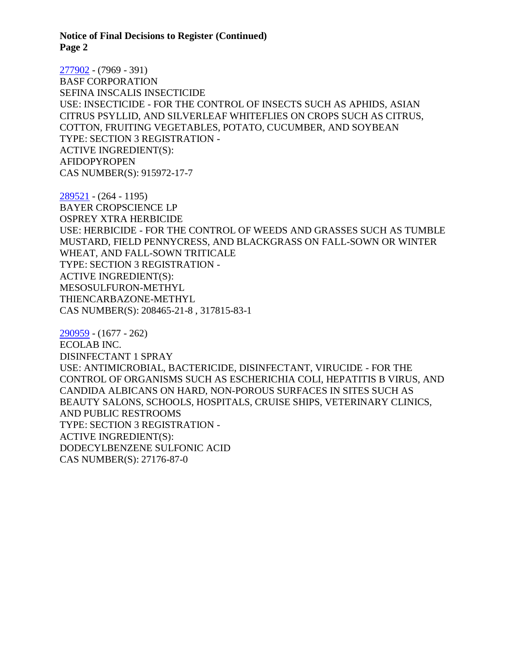[277902](https://www.cdpr.ca.gov/docs/registration/nod/public_reports/277902.pdf) - (7969 - 391) BASF CORPORATION SEFINA INSCALIS INSECTICIDE USE: INSECTICIDE - FOR THE CONTROL OF INSECTS SUCH AS APHIDS, ASIAN CITRUS PSYLLID, AND SILVERLEAF WHITEFLIES ON CROPS SUCH AS CITRUS, COTTON, FRUITING VEGETABLES, POTATO, CUCUMBER, AND SOYBEAN TYPE: SECTION 3 REGISTRATION - ACTIVE INGREDIENT(S): AFIDOPYROPEN CAS NUMBER(S): 915972-17-7

[289521](https://www.cdpr.ca.gov/docs/registration/nod/public_reports/289521.pdf) - (264 - 1195) BAYER CROPSCIENCE LP OSPREY XTRA HERBICIDE USE: HERBICIDE - FOR THE CONTROL OF WEEDS AND GRASSES SUCH AS TUMBLE MUSTARD, FIELD PENNYCRESS, AND BLACKGRASS ON FALL-SOWN OR WINTER WHEAT, AND FALL-SOWN TRITICALE TYPE: SECTION 3 REGISTRATION - ACTIVE INGREDIENT(S): MESOSULFURON-METHYL THIENCARBAZONE-METHYL CAS NUMBER(S): 208465-21-8 , 317815-83-1

[290959](https://www.cdpr.ca.gov/docs/registration/nod/public_reports/290959.pdf) - (1677 - 262) ECOLAB INC. DISINFECTANT 1 SPRAY USE: ANTIMICROBIAL, BACTERICIDE, DISINFECTANT, VIRUCIDE - FOR THE CONTROL OF ORGANISMS SUCH AS ESCHERICHIA COLI, HEPATITIS B VIRUS, AND CANDIDA ALBICANS ON HARD, NON-POROUS SURFACES IN SITES SUCH AS BEAUTY SALONS, SCHOOLS, HOSPITALS, CRUISE SHIPS, VETERINARY CLINICS, AND PUBLIC RESTROOMS TYPE: SECTION 3 REGISTRATION - ACTIVE INGREDIENT(S): DODECYLBENZENE SULFONIC ACID CAS NUMBER(S): 27176-87-0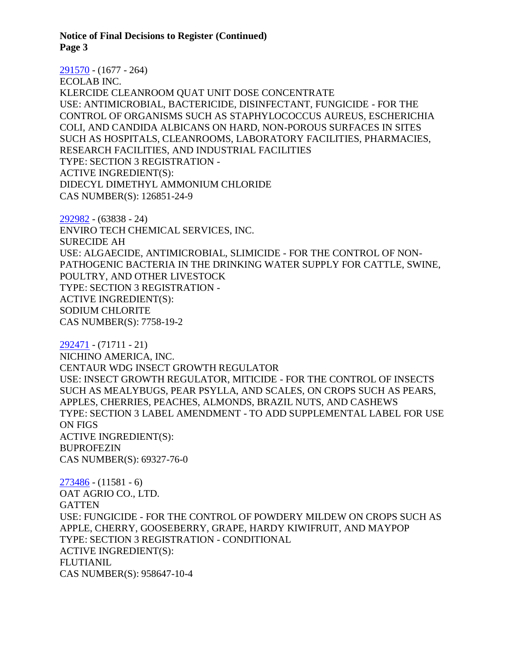[291570](https://www.cdpr.ca.gov/docs/registration/nod/public_reports/291570.pdf) - (1677 - 264) ECOLAB INC. KLERCIDE CLEANROOM QUAT UNIT DOSE CONCENTRATE USE: ANTIMICROBIAL, BACTERICIDE, DISINFECTANT, FUNGICIDE - FOR THE CONTROL OF ORGANISMS SUCH AS STAPHYLOCOCCUS AUREUS, ESCHERICHIA COLI, AND CANDIDA ALBICANS ON HARD, NON-POROUS SURFACES IN SITES SUCH AS HOSPITALS, CLEANROOMS, LABORATORY FACILITIES, PHARMACIES, RESEARCH FACILITIES, AND INDUSTRIAL FACILITIES TYPE: SECTION 3 REGISTRATION - ACTIVE INGREDIENT(S): DIDECYL DIMETHYL AMMONIUM CHLORIDE CAS NUMBER(S): 126851-24-9

[292982](https://www.cdpr.ca.gov/docs/registration/nod/public_reports/292982.pdf) - (63838 - 24) ENVIRO TECH CHEMICAL SERVICES, INC. SURECIDE AH USE: ALGAECIDE, ANTIMICROBIAL, SLIMICIDE - FOR THE CONTROL OF NON-PATHOGENIC BACTERIA IN THE DRINKING WATER SUPPLY FOR CATTLE, SWINE, POULTRY, AND OTHER LIVESTOCK TYPE: SECTION 3 REGISTRATION - ACTIVE INGREDIENT(S): SODIUM CHLORITE CAS NUMBER(S): 7758-19-2

[292471](https://www.cdpr.ca.gov/docs/registration/nod/public_reports/292471.pdf) - (71711 - 21) NICHINO AMERICA, INC. CENTAUR WDG INSECT GROWTH REGULATOR USE: INSECT GROWTH REGULATOR, MITICIDE - FOR THE CONTROL OF INSECTS SUCH AS MEALYBUGS, PEAR PSYLLA, AND SCALES, ON CROPS SUCH AS PEARS, APPLES, CHERRIES, PEACHES, ALMONDS, BRAZIL NUTS, AND CASHEWS TYPE: SECTION 3 LABEL AMENDMENT - TO ADD SUPPLEMENTAL LABEL FOR USE ON FIGS ACTIVE INGREDIENT(S): BUPROFEZIN CAS NUMBER(S): 69327-76-0

[273486](https://www.cdpr.ca.gov/docs/registration/nod/public_reports/273486.pdf) - (11581 - 6) OAT AGRIO CO., LTD. **GATTEN** USE: FUNGICIDE - FOR THE CONTROL OF POWDERY MILDEW ON CROPS SUCH AS APPLE, CHERRY, GOOSEBERRY, GRAPE, HARDY KIWIFRUIT, AND MAYPOP TYPE: SECTION 3 REGISTRATION - CONDITIONAL ACTIVE INGREDIENT(S): FLUTIANIL CAS NUMBER(S): 958647-10-4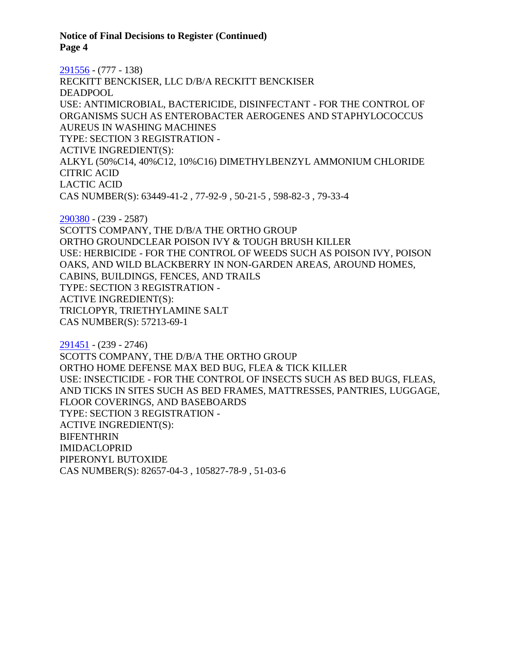[291556](https://www.cdpr.ca.gov/docs/registration/nod/public_reports/291556.pdf) - (777 - 138) RECKITT BENCKISER, LLC D/B/A RECKITT BENCKISER DEADPOOL USE: ANTIMICROBIAL, BACTERICIDE, DISINFECTANT - FOR THE CONTROL OF ORGANISMS SUCH AS ENTEROBACTER AEROGENES AND STAPHYLOCOCCUS AUREUS IN WASHING MACHINES TYPE: SECTION 3 REGISTRATION - ACTIVE INGREDIENT(S): ALKYL (50%C14, 40%C12, 10%C16) DIMETHYLBENZYL AMMONIUM CHLORIDE CITRIC ACID LACTIC ACID CAS NUMBER(S): 63449-41-2 , 77-92-9 , 50-21-5 , 598-82-3 , 79-33-4

[290380](https://www.cdpr.ca.gov/docs/registration/nod/public_reports/290380.pdf) - (239 - 2587) SCOTTS COMPANY, THE D/B/A THE ORTHO GROUP ORTHO GROUNDCLEAR POISON IVY & TOUGH BRUSH KILLER USE: HERBICIDE - FOR THE CONTROL OF WEEDS SUCH AS POISON IVY, POISON OAKS, AND WILD BLACKBERRY IN NON-GARDEN AREAS, AROUND HOMES, CABINS, BUILDINGS, FENCES, AND TRAILS TYPE: SECTION 3 REGISTRATION - ACTIVE INGREDIENT(S): TRICLOPYR, TRIETHYLAMINE SALT CAS NUMBER(S): 57213-69-1

[291451](https://www.cdpr.ca.gov/docs/registration/nod/public_reports/291451.pdf) - (239 - 2746) SCOTTS COMPANY, THE D/B/A THE ORTHO GROUP ORTHO HOME DEFENSE MAX BED BUG, FLEA & TICK KILLER USE: INSECTICIDE - FOR THE CONTROL OF INSECTS SUCH AS BED BUGS, FLEAS, AND TICKS IN SITES SUCH AS BED FRAMES, MATTRESSES, PANTRIES, LUGGAGE, FLOOR COVERINGS, AND BASEBOARDS TYPE: SECTION 3 REGISTRATION - ACTIVE INGREDIENT(S): BIFENTHRIN IMIDACLOPRID PIPERONYL BUTOXIDE CAS NUMBER(S): 82657-04-3 , 105827-78-9 , 51-03-6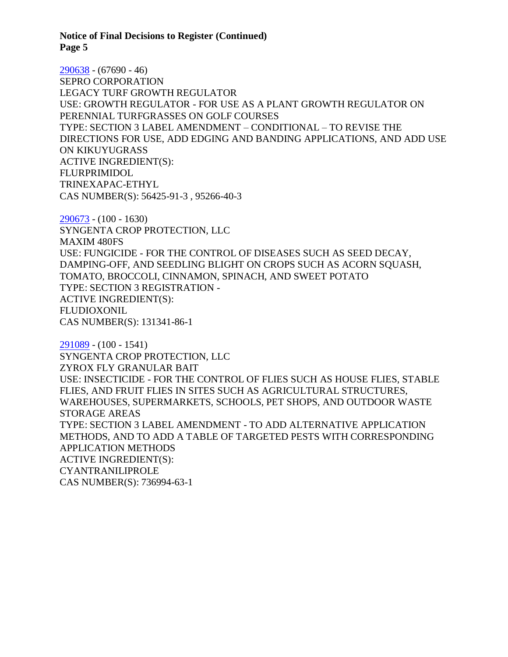[290638](https://www.cdpr.ca.gov/docs/registration/nod/public_reports/290638.pdf) - (67690 - 46) SEPRO CORPORATION LEGACY TURF GROWTH REGULATOR USE: GROWTH REGULATOR - FOR USE AS A PLANT GROWTH REGULATOR ON PERENNIAL TURFGRASSES ON GOLF COURSES TYPE: SECTION 3 LABEL AMENDMENT – CONDITIONAL – TO REVISE THE DIRECTIONS FOR USE, ADD EDGING AND BANDING APPLICATIONS, AND ADD USE ON KIKUYUGRASS ACTIVE INGREDIENT(S): FLURPRIMIDOL TRINEXAPAC-ETHYL CAS NUMBER(S): 56425-91-3 , 95266-40-3

[290673](https://www.cdpr.ca.gov/docs/registration/nod/public_reports/290673.pdf) - (100 - 1630) SYNGENTA CROP PROTECTION, LLC MAXIM 480FS USE: FUNGICIDE - FOR THE CONTROL OF DISEASES SUCH AS SEED DECAY, DAMPING-OFF, AND SEEDLING BLIGHT ON CROPS SUCH AS ACORN SQUASH, TOMATO, BROCCOLI, CINNAMON, SPINACH, AND SWEET POTATO TYPE: SECTION 3 REGISTRATION - ACTIVE INGREDIENT(S): FLUDIOXONIL CAS NUMBER(S): 131341-86-1

[291089](https://www.cdpr.ca.gov/docs/registration/nod/public_reports/291089.pdf) - (100 - 1541) SYNGENTA CROP PROTECTION, LLC ZYROX FLY GRANULAR BAIT USE: INSECTICIDE - FOR THE CONTROL OF FLIES SUCH AS HOUSE FLIES, STABLE FLIES, AND FRUIT FLIES IN SITES SUCH AS AGRICULTURAL STRUCTURES, WAREHOUSES, SUPERMARKETS, SCHOOLS, PET SHOPS, AND OUTDOOR WASTE STORAGE AREAS TYPE: SECTION 3 LABEL AMENDMENT - TO ADD ALTERNATIVE APPLICATION METHODS, AND TO ADD A TABLE OF TARGETED PESTS WITH CORRESPONDING APPLICATION METHODS ACTIVE INGREDIENT(S): CYANTRANILIPROLE CAS NUMBER(S): 736994-63-1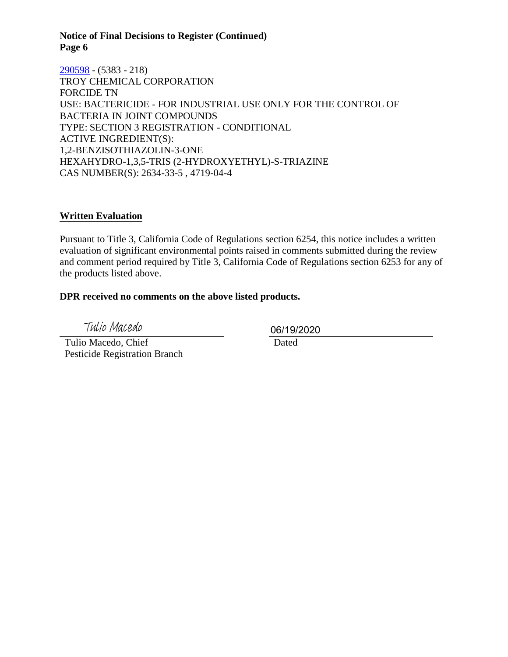[290598](https://www.cdpr.ca.gov/docs/registration/nod/public_reports/290598.pdf) - (5383 - 218) TROY CHEMICAL CORPORATION FORCIDE TN USE: BACTERICIDE - FOR INDUSTRIAL USE ONLY FOR THE CONTROL OF BACTERIA IN JOINT COMPOUNDS TYPE: SECTION 3 REGISTRATION - CONDITIONAL ACTIVE INGREDIENT(S): 1,2-BENZISOTHIAZOLIN-3-ONE HEXAHYDRO-1,3,5-TRIS (2-HYDROXYETHYL)-S-TRIAZINE CAS NUMBER(S): 2634-33-5 , 4719-04-4

# **Written Evaluation**

Pursuant to Title 3, California Code of Regulations section 6254, this notice includes a written evaluation of significant environmental points raised in comments submitted during the review and comment period required by Title 3, California Code of Regulations section 6253 for any of the products listed above.

### **DPR received no comments on the above listed products.**

Tulio Macedo

 Tulio Macedo, Chief Pesticide Registration Branch 06/19/2020

Dated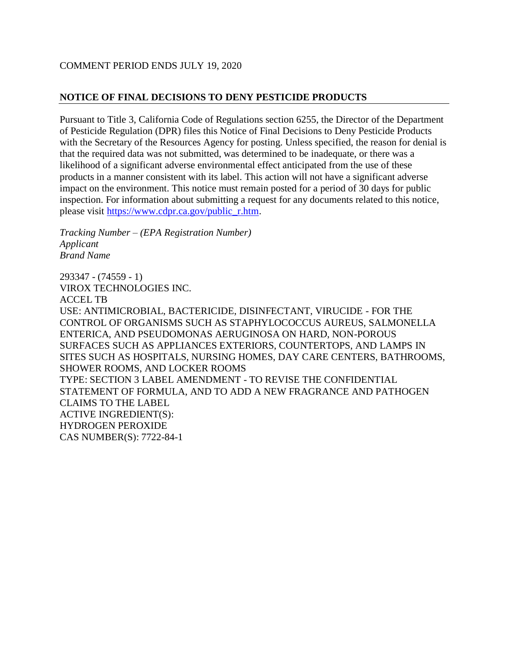# COMMENT PERIOD ENDS JULY 19, 2020

# **NOTICE OF FINAL DECISIONS TO DENY PESTICIDE PRODUCTS**

Pursuant to Title 3, California Code of Regulations section 6255, the Director of the Department of Pesticide Regulation (DPR) files this Notice of Final Decisions to Deny Pesticide Products with the Secretary of the Resources Agency for posting. Unless specified, the reason for denial is that the required data was not submitted, was determined to be inadequate, or there was a likelihood of a significant adverse environmental effect anticipated from the use of these products in a manner consistent with its label. This action will not have a significant adverse impact on the environment. This notice must remain posted for a period of 30 days for public inspection. For information about submitting a request for any documents related to this notice, please visit [https://www.cdpr.ca.gov/public\\_r.htm.](https://www.cdpr.ca.gov/public_r.htm)

*Tracking Number – (EPA Registration Number) Applicant Brand Name*

293347 - (74559 - 1) VIROX TECHNOLOGIES INC. ACCEL TB USE: ANTIMICROBIAL, BACTERICIDE, DISINFECTANT, VIRUCIDE - FOR THE CONTROL OF ORGANISMS SUCH AS STAPHYLOCOCCUS AUREUS, SALMONELLA ENTERICA, AND PSEUDOMONAS AERUGINOSA ON HARD, NON-POROUS SURFACES SUCH AS APPLIANCES EXTERIORS, COUNTERTOPS, AND LAMPS IN SITES SUCH AS HOSPITALS, NURSING HOMES, DAY CARE CENTERS, BATHROOMS, SHOWER ROOMS, AND LOCKER ROOMS TYPE: SECTION 3 LABEL AMENDMENT - TO REVISE THE CONFIDENTIAL STATEMENT OF FORMULA, AND TO ADD A NEW FRAGRANCE AND PATHOGEN CLAIMS TO THE LABEL ACTIVE INGREDIENT(S): HYDROGEN PEROXIDE CAS NUMBER(S): 7722-84-1